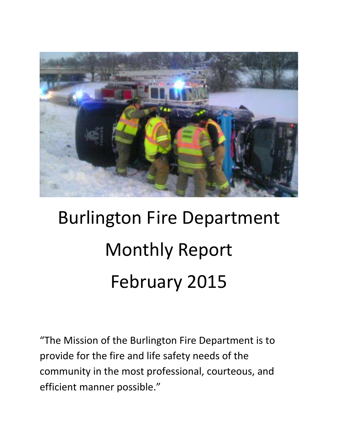

# Burlington Fire Department Monthly Report February 2015

"The Mission of the Burlington Fire Department is to provide for the fire and life safety needs of the community in the most professional, courteous, and efficient manner possible."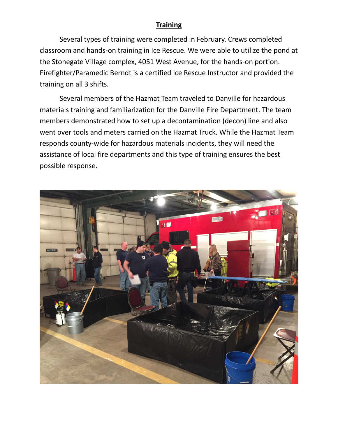## **Training**

 Several types of training were completed in February. Crews completed classroom and hands-on training in Ice Rescue. We were able to utilize the pond at the Stonegate Village complex, 4051 West Avenue, for the hands-on portion. Firefighter/Paramedic Berndt is a certified Ice Rescue Instructor and provided the training on all 3 shifts.

 Several members of the Hazmat Team traveled to Danville for hazardous materials training and familiarization for the Danville Fire Department. The team members demonstrated how to set up a decontamination (decon) line and also went over tools and meters carried on the Hazmat Truck. While the Hazmat Team responds county-wide for hazardous materials incidents, they will need the assistance of local fire departments and this type of training ensures the best possible response.

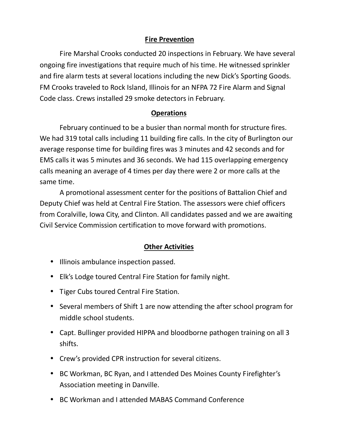# **Fire Prevention**

 Fire Marshal Crooks conducted 20 inspections in February. We have several ongoing fire investigations that require much of his time. He witnessed sprinkler and fire alarm tests at several locations including the new Dick's Sporting Goods. FM Crooks traveled to Rock Island, Illinois for an NFPA 72 Fire Alarm and Signal Code class. Crews installed 29 smoke detectors in February.

# **Operations**

February continued to be a busier than normal month for structure fires. We had 319 total calls including 11 building fire calls. In the city of Burlington our average response time for building fires was 3 minutes and 42 seconds and for EMS calls it was 5 minutes and 36 seconds. We had 115 overlapping emergency calls meaning an average of 4 times per day there were 2 or more calls at the same time.

A promotional assessment center for the positions of Battalion Chief and Deputy Chief was held at Central Fire Station. The assessors were chief officers from Coralville, Iowa City, and Clinton. All candidates passed and we are awaiting Civil Service Commission certification to move forward with promotions.

#### **Other Activities**

- Illinois ambulance inspection passed.
- Elk's Lodge toured Central Fire Station for family night.
- Tiger Cubs toured Central Fire Station.
- Several members of Shift 1 are now attending the after school program for middle school students.
- Capt. Bullinger provided HIPPA and bloodborne pathogen training on all 3 shifts.
- Crew's provided CPR instruction for several citizens.
- BC Workman, BC Ryan, and I attended Des Moines County Firefighter's Association meeting in Danville.
- BC Workman and I attended MABAS Command Conference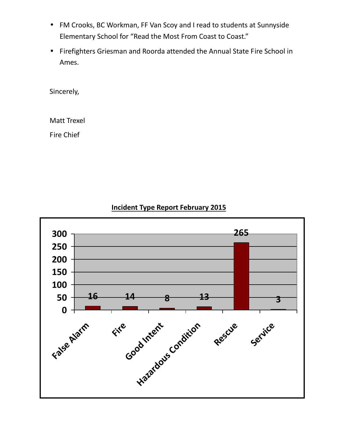- FM Crooks, BC Workman, FF Van Scoy and I read to students at Sunnyside Elementary School for "Read the Most From Coast to Coast."
- Firefighters Griesman and Roorda attended the Annual State Fire School in Ames.

Sincerely,

Matt Trexel

Fire Chief



# **Incident Type Report February 2015**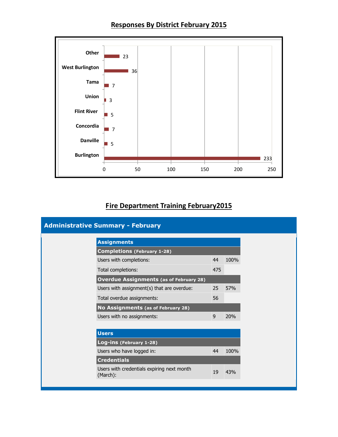# **Responses By District February 2015**



# **Fire Department Training February2015**

| <b>Administrative Summary - February</b>               |     |      |  |  |
|--------------------------------------------------------|-----|------|--|--|
| <b>Assignments</b>                                     |     |      |  |  |
| <b>Completions (February 1-28)</b>                     |     |      |  |  |
| Users with completions:                                | 44  | 100% |  |  |
| Total completions:                                     | 475 |      |  |  |
| <b>Overdue Assignments (as of February 28)</b>         |     |      |  |  |
| Users with assignment(s) that are overdue:             | 25  | 57%  |  |  |
| Total overdue assignments:                             | 56  |      |  |  |
| No Assignments (as of February 28)                     |     |      |  |  |
| Users with no assignments:                             | 9   | 20%  |  |  |
|                                                        |     |      |  |  |
| <b>Users</b>                                           |     |      |  |  |
| Log-ins (February 1-28)                                |     |      |  |  |
| Users who have logged in:                              | 44  | 100% |  |  |
| <b>Credentials</b>                                     |     |      |  |  |
| Users with credentials expiring next month<br>(March): | 19  | 43%  |  |  |
|                                                        |     |      |  |  |